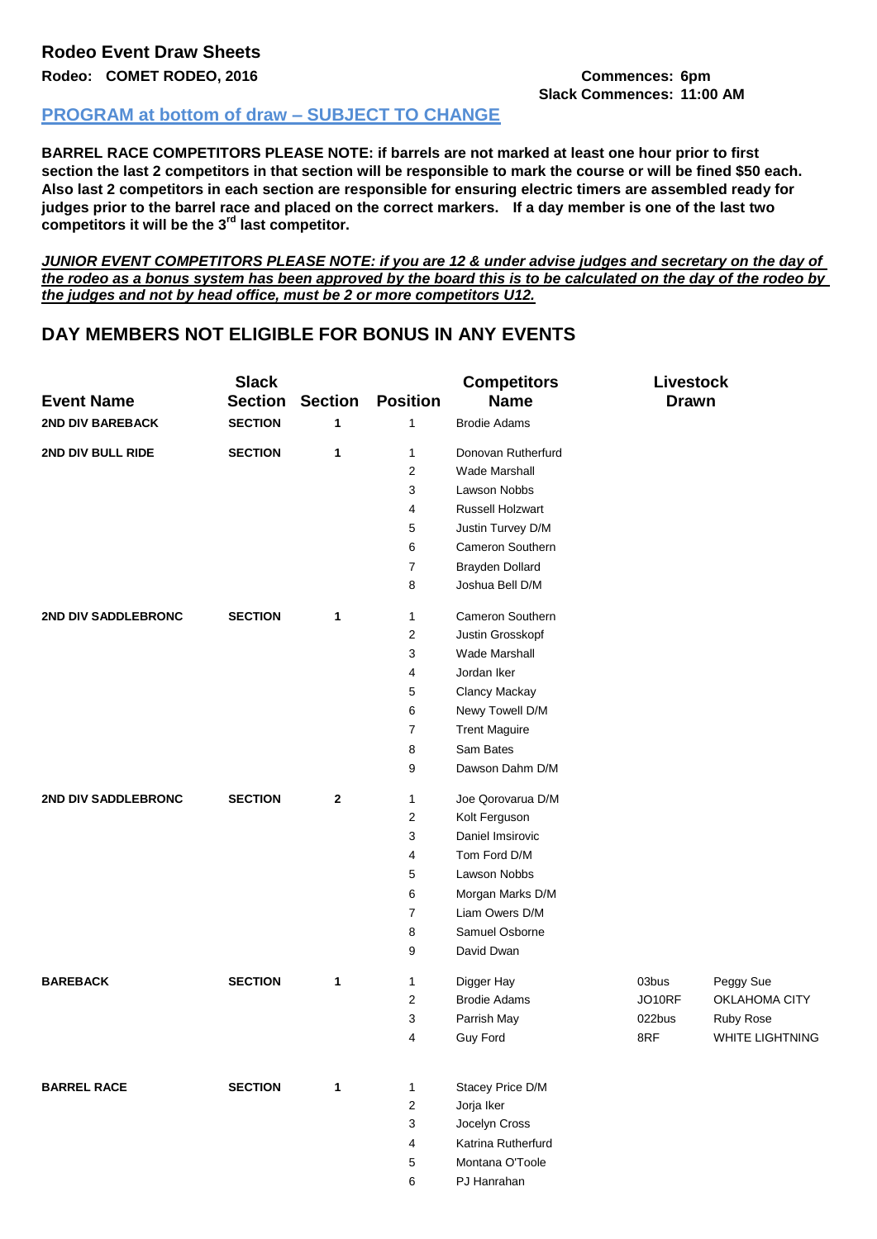## **Rodeo Event Draw Sheets**

**Rodeo: COMET RODEO, 2016 Commences: 6pm**

## **Slack Commences: 11:00 AM**

## **PROGRAM at bottom of draw – SUBJECT TO CHANGE**

**BARREL RACE COMPETITORS PLEASE NOTE: if barrels are not marked at least one hour prior to first section the last 2 competitors in that section will be responsible to mark the course or will be fined \$50 each. Also last 2 competitors in each section are responsible for ensuring electric timers are assembled ready for judges prior to the barrel race and placed on the correct markers. If a day member is one of the last two competitors it will be the 3rd last competitor.**

*JUNIOR EVENT COMPETITORS PLEASE NOTE: if you are 12 & under advise judges and secretary on the day of the rodeo as a bonus system has been approved by the board this is to be calculated on the day of the rodeo by the judges and not by head office, must be 2 or more competitors U12.*

## **DAY MEMBERS NOT ELIGIBLE FOR BONUS IN ANY EVENTS**

|                         | <b>Slack</b>   |                |                 | <b>Competitors</b>   | Livestock    |                 |
|-------------------------|----------------|----------------|-----------------|----------------------|--------------|-----------------|
| <b>Event Name</b>       | <b>Section</b> | <b>Section</b> | <b>Position</b> | <b>Name</b>          | <b>Drawn</b> |                 |
| <b>2ND DIV BAREBACK</b> | <b>SECTION</b> | 1              | 1               | <b>Brodie Adams</b>  |              |                 |
| 2ND DIV BULL RIDE       | <b>SECTION</b> | 1              | 1               | Donovan Rutherfurd   |              |                 |
|                         |                |                | 2               | <b>Wade Marshall</b> |              |                 |
|                         |                |                | 3               | Lawson Nobbs         |              |                 |
|                         |                |                | 4               | Russell Holzwart     |              |                 |
|                         |                |                | 5               | Justin Turvey D/M    |              |                 |
|                         |                |                | 6               | Cameron Southern     |              |                 |
|                         |                |                | 7               | Brayden Dollard      |              |                 |
|                         |                |                | 8               | Joshua Bell D/M      |              |                 |
| 2ND DIV SADDLEBRONC     | <b>SECTION</b> | $\mathbf 1$    | 1               | Cameron Southern     |              |                 |
|                         |                |                | 2               | Justin Grosskopf     |              |                 |
|                         |                |                | 3               | <b>Wade Marshall</b> |              |                 |
|                         |                |                | 4               | Jordan Iker          |              |                 |
|                         |                |                | 5               | Clancy Mackay        |              |                 |
|                         |                |                | 6               | Newy Towell D/M      |              |                 |
|                         |                |                | 7               | <b>Trent Maguire</b> |              |                 |
|                         |                |                | 8               | Sam Bates            |              |                 |
|                         |                |                | 9               | Dawson Dahm D/M      |              |                 |
| 2ND DIV SADDLEBRONC     | <b>SECTION</b> | $\mathbf{2}$   | 1               | Joe Qorovarua D/M    |              |                 |
|                         |                |                | 2               | Kolt Ferguson        |              |                 |
|                         |                |                | 3               | Daniel Imsirovic     |              |                 |
|                         |                |                | 4               | Tom Ford D/M         |              |                 |
|                         |                |                | 5               | Lawson Nobbs         |              |                 |
|                         |                |                | 6               | Morgan Marks D/M     |              |                 |
|                         |                |                | 7               | Liam Owers D/M       |              |                 |
|                         |                |                | 8               | Samuel Osborne       |              |                 |
|                         |                |                | 9               | David Dwan           |              |                 |
| <b>BAREBACK</b>         | <b>SECTION</b> | 1              | 1               | Digger Hay           | 03bus        | Peggy Sue       |
|                         |                |                | 2               | <b>Brodie Adams</b>  | JO10RF       | OKLAHOMA CITY   |
|                         |                |                | 3               | Parrish May          | 022bus       | Ruby Rose       |
|                         |                |                | 4               | Guy Ford             | 8RF          | WHITE LIGHTNING |
| <b>BARREL RACE</b>      | <b>SECTION</b> | $\mathbf{1}$   | 1               | Stacey Price D/M     |              |                 |
|                         |                |                | 2               | Jorja Iker           |              |                 |
|                         |                |                | 3               | Jocelyn Cross        |              |                 |
|                         |                |                | 4               | Katrina Rutherfurd   |              |                 |
|                         |                |                | 5               | Montana O'Toole      |              |                 |
|                         |                |                | 6               | PJ Hanrahan          |              |                 |
|                         |                |                |                 |                      |              |                 |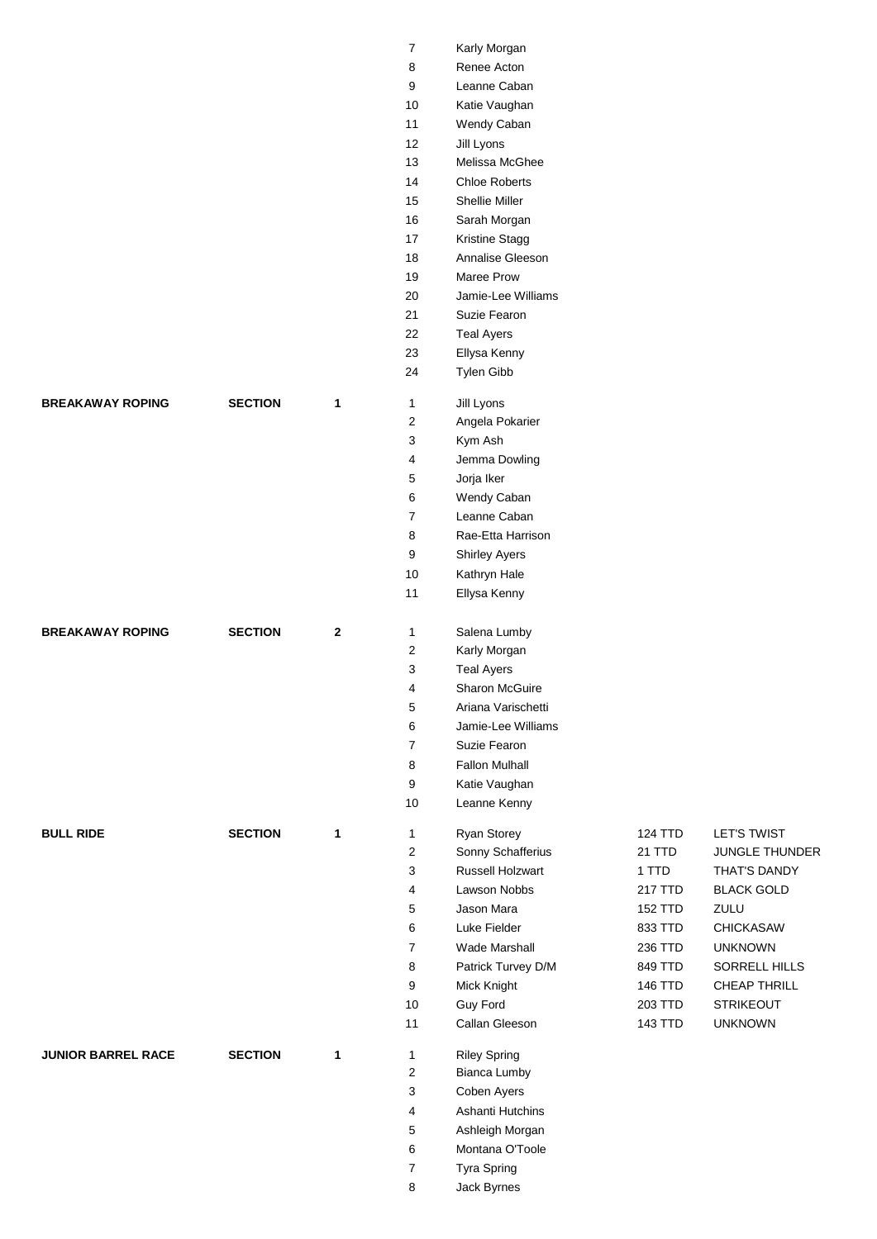|                           |                |              | $\boldsymbol{7}$ | Karly Morgan          |                |                   |
|---------------------------|----------------|--------------|------------------|-----------------------|----------------|-------------------|
|                           |                |              | 8                | Renee Acton           |                |                   |
|                           |                |              | 9                | Leanne Caban          |                |                   |
|                           |                |              | 10               | Katie Vaughan         |                |                   |
|                           |                |              | 11               | Wendy Caban           |                |                   |
|                           |                |              | 12               | Jill Lyons            |                |                   |
|                           |                |              | 13               | Melissa McGhee        |                |                   |
|                           |                |              | 14               | <b>Chloe Roberts</b>  |                |                   |
|                           |                |              | 15               | Shellie Miller        |                |                   |
|                           |                |              | 16               | Sarah Morgan          |                |                   |
|                           |                |              | 17               | Kristine Stagg        |                |                   |
|                           |                |              | 18               | Annalise Gleeson      |                |                   |
|                           |                |              | $19$             | Maree Prow            |                |                   |
|                           |                |              | 20               | Jamie-Lee Williams    |                |                   |
|                           |                |              | 21               | Suzie Fearon          |                |                   |
|                           |                |              | 22               | <b>Teal Ayers</b>     |                |                   |
|                           |                |              | 23               | Ellysa Kenny          |                |                   |
|                           |                |              | 24               | Tylen Gibb            |                |                   |
|                           |                |              |                  |                       |                |                   |
| <b>BREAKAWAY ROPING</b>   | <b>SECTION</b> | 1            | $\mathbf{1}$     | Jill Lyons            |                |                   |
|                           |                |              | $\overline{2}$   | Angela Pokarier       |                |                   |
|                           |                |              | 3                | Kym Ash               |                |                   |
|                           |                |              | 4                | Jemma Dowling         |                |                   |
|                           |                |              | $\mathbf 5$      | Jorja Iker            |                |                   |
|                           |                |              | 6                | Wendy Caban           |                |                   |
|                           |                |              | $\overline{7}$   | Leanne Caban          |                |                   |
|                           |                |              | 8                | Rae-Etta Harrison     |                |                   |
|                           |                |              | 9                | <b>Shirley Ayers</b>  |                |                   |
|                           |                |              | 10               | Kathryn Hale          |                |                   |
|                           |                |              | 11               | Ellysa Kenny          |                |                   |
| <b>BREAKAWAY ROPING</b>   | <b>SECTION</b> | $\mathbf{2}$ | $\mathbf{1}$     | Salena Lumby          |                |                   |
|                           |                |              | $\overline{c}$   | Karly Morgan          |                |                   |
|                           |                |              | 3                | <b>Teal Ayers</b>     |                |                   |
|                           |                |              | $\overline{4}$   | <b>Sharon McGuire</b> |                |                   |
|                           |                |              | $\mathbf 5$      | Ariana Varischetti    |                |                   |
|                           |                |              | 6                | Jamie-Lee Williams    |                |                   |
|                           |                |              | $\overline{7}$   | Suzie Fearon          |                |                   |
|                           |                |              | 8                | <b>Fallon Mulhall</b> |                |                   |
|                           |                |              | 9                | Katie Vaughan         |                |                   |
|                           |                |              | 10               | Leanne Kenny          |                |                   |
|                           |                |              |                  |                       |                |                   |
| <b>BULL RIDE</b>          | <b>SECTION</b> | 1            | $\mathbf{1}$     | Ryan Storey           | 124 TTD        | LET'S TWIST       |
|                           |                |              | $\boldsymbol{2}$ | Sonny Schafferius     | 21 TTD         | JUNGLE THUNDER    |
|                           |                |              | 3                | Russell Holzwart      | 1 TTD          | THAT'S DANDY      |
|                           |                |              | 4                | Lawson Nobbs          | 217 TTD        | <b>BLACK GOLD</b> |
|                           |                |              | $\mathbf 5$      | Jason Mara            | <b>152 TTD</b> | ZULU              |
|                           |                |              | 6                | Luke Fielder          | 833 TTD        | <b>CHICKASAW</b>  |
|                           |                |              | $\overline{7}$   | Wade Marshall         | 236 TTD        | <b>UNKNOWN</b>    |
|                           |                |              | 8                | Patrick Turvey D/M    | 849 TTD        | SORRELL HILLS     |
|                           |                |              | 9                | Mick Knight           | 146 TTD        | CHEAP THRILL      |
|                           |                |              | 10               | Guy Ford              | 203 TTD        | <b>STRIKEOUT</b>  |
|                           |                |              | 11               | Callan Gleeson        | 143 TTD        | <b>UNKNOWN</b>    |
| <b>JUNIOR BARREL RACE</b> | <b>SECTION</b> | 1            | $\mathbf{1}$     | <b>Riley Spring</b>   |                |                   |
|                           |                |              | $\boldsymbol{2}$ | Bianca Lumby          |                |                   |
|                           |                |              | 3                | Coben Ayers           |                |                   |
|                           |                |              | 4                | Ashanti Hutchins      |                |                   |
|                           |                |              | 5                | Ashleigh Morgan       |                |                   |
|                           |                |              | 6                | Montana O'Toole       |                |                   |
|                           |                |              | $\overline{7}$   | Tyra Spring           |                |                   |
|                           |                |              | 8                | Jack Byrnes           |                |                   |
|                           |                |              |                  |                       |                |                   |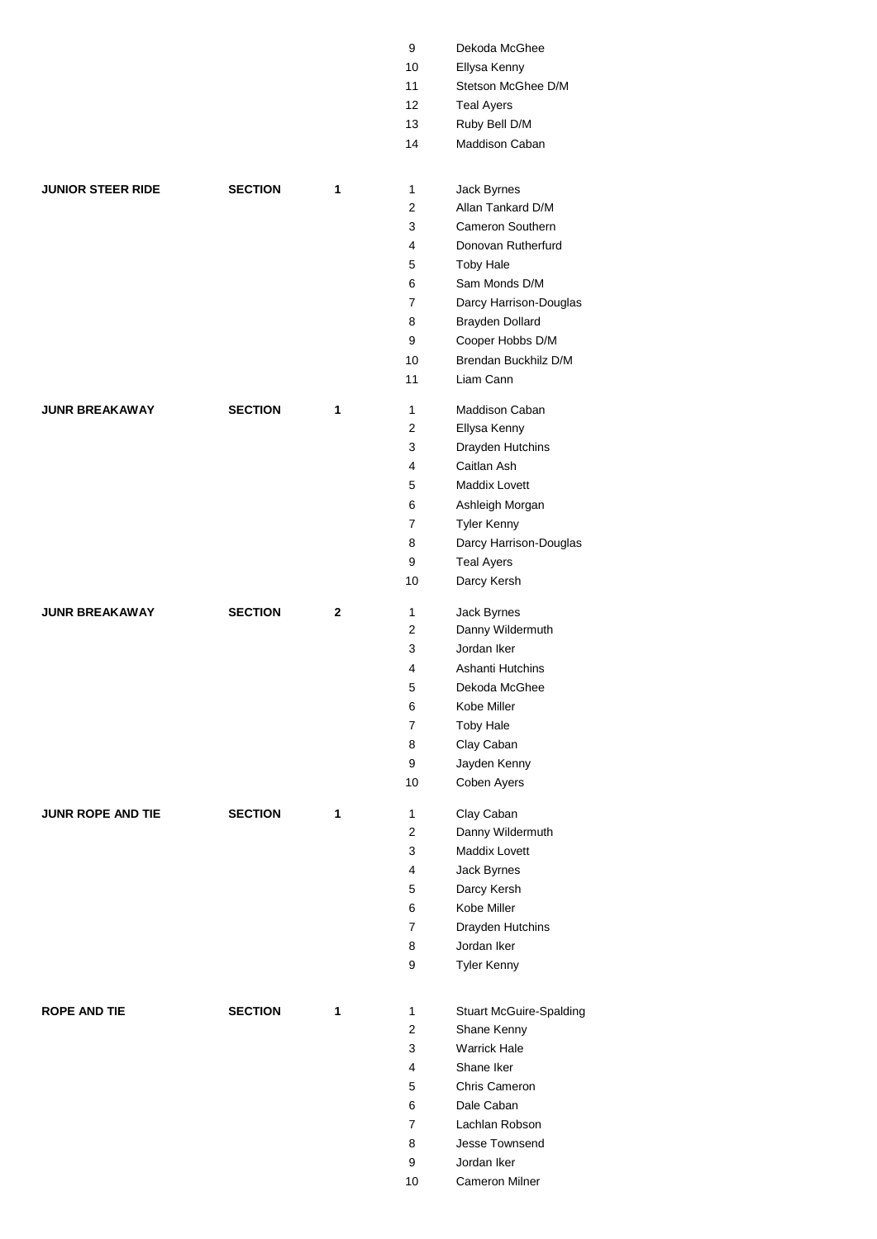|                          |                |              | 9              | Dekoda McGhee                  |
|--------------------------|----------------|--------------|----------------|--------------------------------|
|                          |                |              | 10             | Ellysa Kenny                   |
|                          |                |              | 11             | Stetson McGhee D/M             |
|                          |                |              | 12             | <b>Teal Ayers</b>              |
|                          |                |              | 13             | Ruby Bell D/M                  |
|                          |                |              | 14             | Maddison Caban                 |
|                          |                |              |                |                                |
| <b>JUNIOR STEER RIDE</b> | <b>SECTION</b> | 1            | 1              | Jack Byrnes                    |
|                          |                |              | 2              | Allan Tankard D/M              |
|                          |                |              | 3              | Cameron Southern               |
|                          |                |              | 4              | Donovan Rutherfurd             |
|                          |                |              | 5              | <b>Toby Hale</b>               |
|                          |                |              | 6              | Sam Monds D/M                  |
|                          |                |              | 7              | Darcy Harrison-Douglas         |
|                          |                |              | 8              | Brayden Dollard                |
|                          |                |              | 9              | Cooper Hobbs D/M               |
|                          |                |              | 10             | Brendan Buckhilz D/M           |
|                          |                |              | 11             | Liam Cann                      |
| <b>JUNR BREAKAWAY</b>    | <b>SECTION</b> | 1            | $\mathbf{1}$   | Maddison Caban                 |
|                          |                |              | 2              | Ellysa Kenny                   |
|                          |                |              | 3              | Drayden Hutchins               |
|                          |                |              | 4              | Caitlan Ash                    |
|                          |                |              | 5              | <b>Maddix Lovett</b>           |
|                          |                |              | 6              | Ashleigh Morgan                |
|                          |                |              | 7              | <b>Tyler Kenny</b>             |
|                          |                |              | 8              | Darcy Harrison-Douglas         |
|                          |                |              | 9              |                                |
|                          |                |              | 10             | <b>Teal Ayers</b>              |
|                          |                |              |                | Darcy Kersh                    |
| <b>JUNR BREAKAWAY</b>    | <b>SECTION</b> | $\mathbf{2}$ | 1              | Jack Byrnes                    |
|                          |                |              | 2              | Danny Wildermuth               |
|                          |                |              | 3              | Jordan Iker                    |
|                          |                |              | 4              | Ashanti Hutchins               |
|                          |                |              | 5              | Dekoda McGhee                  |
|                          |                |              | 6              | Kobe Miller                    |
|                          |                |              | $\overline{7}$ | <b>Toby Hale</b>               |
|                          |                |              | 8              | Clay Caban                     |
|                          |                |              | 9              | Jayden Kenny                   |
|                          |                |              | 10             | Coben Ayers                    |
| <b>JUNR ROPE AND TIE</b> | <b>SECTION</b> | 1            | 1              | Clay Caban                     |
|                          |                |              | $\overline{2}$ | Danny Wildermuth               |
|                          |                |              | 3              | <b>Maddix Lovett</b>           |
|                          |                |              | 4              | Jack Byrnes                    |
|                          |                |              | 5              | Darcy Kersh                    |
|                          |                |              | 6              | Kobe Miller                    |
|                          |                |              | $\overline{7}$ | Drayden Hutchins               |
|                          |                |              | 8              | Jordan Iker                    |
|                          |                |              | 9              | <b>Tyler Kenny</b>             |
|                          |                |              |                |                                |
| <b>ROPE AND TIE</b>      | <b>SECTION</b> | 1            | 1              | <b>Stuart McGuire-Spalding</b> |
|                          |                |              | 2              | Shane Kenny                    |
|                          |                |              | 3              | <b>Warrick Hale</b>            |
|                          |                |              | 4              | Shane Iker                     |
|                          |                |              | 5              | Chris Cameron                  |
|                          |                |              | 6              | Dale Caban                     |
|                          |                |              | 7              | Lachlan Robson                 |
|                          |                |              | 8              | Jesse Townsend                 |
|                          |                |              | 9              | Jordan Iker                    |
|                          |                |              | 10             | Cameron Milner                 |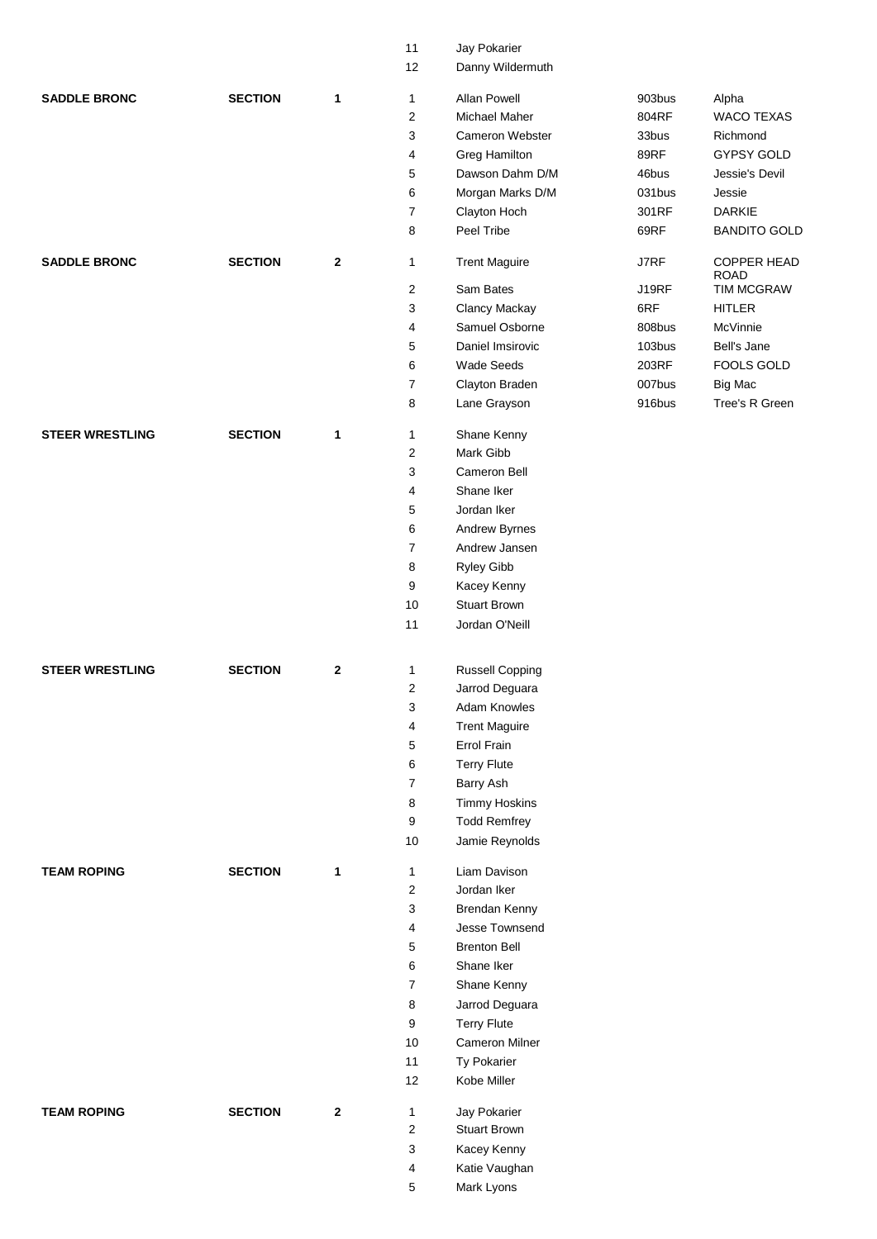|                        |                |              | 11             | Jay Pokarier                       |              |                                   |
|------------------------|----------------|--------------|----------------|------------------------------------|--------------|-----------------------------------|
|                        |                |              | 12             | Danny Wildermuth                   |              |                                   |
| <b>SADDLE BRONC</b>    | <b>SECTION</b> | 1            | 1              | <b>Allan Powell</b>                | 903bus       | Alpha                             |
|                        |                |              | 2              | Michael Maher                      | 804RF        | <b>WACO TEXAS</b>                 |
|                        |                |              | 3              | Cameron Webster                    | 33bus        | Richmond                          |
|                        |                |              | 4              | Greg Hamilton                      | 89RF         | <b>GYPSY GOLD</b>                 |
|                        |                |              | 5              | Dawson Dahm D/M                    | 46bus        | Jessie's Devil                    |
|                        |                |              |                |                                    | 031bus       |                                   |
|                        |                |              | 6              | Morgan Marks D/M                   |              | Jessie                            |
|                        |                |              | 7              | Clayton Hoch                       | 301RF        | <b>DARKIE</b>                     |
|                        |                |              | 8              | Peel Tribe                         | 69RF         | <b>BANDITO GOLD</b>               |
| <b>SADDLE BRONC</b>    | <b>SECTION</b> | $\mathbf{2}$ | 1              | <b>Trent Maguire</b>               | <b>J7RF</b>  | <b>COPPER HEAD</b><br><b>ROAD</b> |
|                        |                |              | 2              | Sam Bates                          | <b>J19RF</b> | TIM MCGRAW                        |
|                        |                |              | 3              | Clancy Mackay                      | 6RF          | <b>HITLER</b>                     |
|                        |                |              | 4              | Samuel Osborne                     | 808bus       | McVinnie                          |
|                        |                |              | 5              | Daniel Imsirovic                   | 103bus       | Bell's Jane                       |
|                        |                |              | 6              | Wade Seeds                         | 203RF        | FOOLS GOLD                        |
|                        |                |              | $\overline{7}$ | Clayton Braden                     | 007bus       | <b>Big Mac</b>                    |
|                        |                |              | 8              | Lane Grayson                       | 916bus       | Tree's R Green                    |
| <b>STEER WRESTLING</b> | <b>SECTION</b> | 1            | 1              | Shane Kenny                        |              |                                   |
|                        |                |              | $\overline{2}$ | Mark Gibb                          |              |                                   |
|                        |                |              | 3              | Cameron Bell                       |              |                                   |
|                        |                |              | 4              | Shane Iker                         |              |                                   |
|                        |                |              | 5              | Jordan Iker                        |              |                                   |
|                        |                |              | 6              | Andrew Byrnes                      |              |                                   |
|                        |                |              | 7              | Andrew Jansen                      |              |                                   |
|                        |                |              | 8              | Ryley Gibb                         |              |                                   |
|                        |                |              | 9              |                                    |              |                                   |
|                        |                |              |                | Kacey Kenny<br><b>Stuart Brown</b> |              |                                   |
|                        |                |              | 10             |                                    |              |                                   |
|                        |                |              | 11             | Jordan O'Neill                     |              |                                   |
| <b>STEER WRESTLING</b> | <b>SECTION</b> | $\mathbf{2}$ | 1              | <b>Russell Copping</b>             |              |                                   |
|                        |                |              | 2              | Jarrod Deguara                     |              |                                   |
|                        |                |              |                | Adam Knowles                       |              |                                   |
|                        |                |              | 3              |                                    |              |                                   |
|                        |                |              | 4              | <b>Trent Maguire</b>               |              |                                   |
|                        |                |              | 5              | Errol Frain                        |              |                                   |
|                        |                |              | 6              | <b>Terry Flute</b>                 |              |                                   |
|                        |                |              | $\overline{7}$ | Barry Ash                          |              |                                   |
|                        |                |              | 8              | <b>Timmy Hoskins</b>               |              |                                   |
|                        |                |              | 9              | <b>Todd Remfrey</b>                |              |                                   |
|                        |                |              | 10             | Jamie Reynolds                     |              |                                   |
| <b>TEAM ROPING</b>     | <b>SECTION</b> | 1            | 1              | Liam Davison                       |              |                                   |
|                        |                |              | $\overline{c}$ | Jordan Iker                        |              |                                   |
|                        |                |              | 3              | Brendan Kenny                      |              |                                   |
|                        |                |              | 4              | Jesse Townsend                     |              |                                   |
|                        |                |              | 5              | <b>Brenton Bell</b>                |              |                                   |
|                        |                |              | 6              | Shane Iker                         |              |                                   |
|                        |                |              | $\overline{7}$ | Shane Kenny                        |              |                                   |
|                        |                |              | 8              | Jarrod Deguara                     |              |                                   |
|                        |                |              | 9              | <b>Terry Flute</b>                 |              |                                   |
|                        |                |              | 10             | <b>Cameron Milner</b>              |              |                                   |
|                        |                |              | 11             | Ty Pokarier                        |              |                                   |
|                        |                |              | 12             | Kobe Miller                        |              |                                   |
|                        |                |              |                |                                    |              |                                   |
| <b>TEAM ROPING</b>     | <b>SECTION</b> | $\mathbf{2}$ | 1              | Jay Pokarier                       |              |                                   |
|                        |                |              | $\overline{c}$ | <b>Stuart Brown</b>                |              |                                   |
|                        |                |              | 3              | Kacey Kenny                        |              |                                   |
|                        |                |              | 4              | Katie Vaughan                      |              |                                   |
|                        |                |              | 5              | Mark Lyons                         |              |                                   |